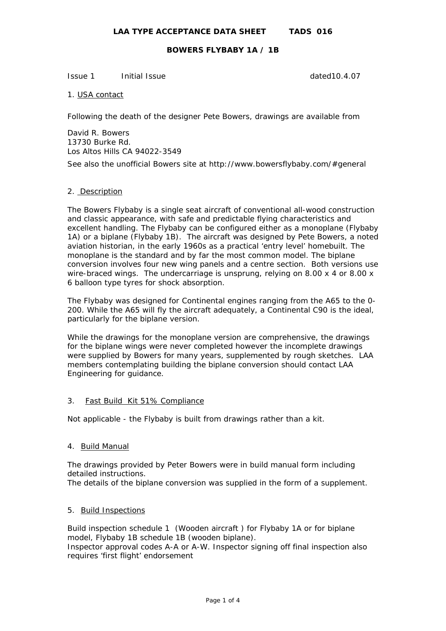Issue 1 Initial Issue dated10.4.07

1. USA contact

Following the death of the designer Pete Bowers, drawings are available from

David R. Bowers 13730 Burke Rd. Los Altos Hills CA 94022-3549

See also the unofficial Bowers site at http://www.bowersflybaby.com/#general

#### 2. Description

The Bowers Flybaby is a single seat aircraft of conventional all-wood construction and classic appearance, with safe and predictable flying characteristics and excellent handling. The Flybaby can be configured either as a monoplane (Flybaby 1A) or a biplane (Flybaby 1B). The aircraft was designed by Pete Bowers, a noted aviation historian, in the early 1960s as a practical 'entry level' homebuilt. The monoplane is the standard and by far the most common model. The biplane conversion involves four new wing panels and a centre section. Both versions use wire-braced wings. The undercarriage is unsprung, relying on 8.00 x 4 or 8.00 x 6 balloon type tyres for shock absorption.

The Flybaby was designed for Continental engines ranging from the A65 to the 0- 200. While the A65 will fly the aircraft adequately, a Continental C90 is the ideal, particularly for the biplane version.

While the drawings for the monoplane version are comprehensive, the drawings for the biplane wings were never completed however the incomplete drawings were supplied by Bowers for many years, supplemented by rough sketches. LAA members contemplating building the biplane conversion should contact LAA Engineering for guidance.

#### 3. Fast Build Kit 51% Compliance

Not applicable - the Flybaby is built from drawings rather than a kit.

## 4. Build Manual

The drawings provided by Peter Bowers were in build manual form including detailed instructions.

The details of the biplane conversion was supplied in the form of a supplement.

## 5. Build Inspections

Build inspection schedule 1 (Wooden aircraft ) for Flybaby 1A or for biplane model, Flybaby 1B schedule 1B (wooden biplane). Inspector approval codes A-A or A-W. Inspector signing off final inspection also requires 'first flight' endorsement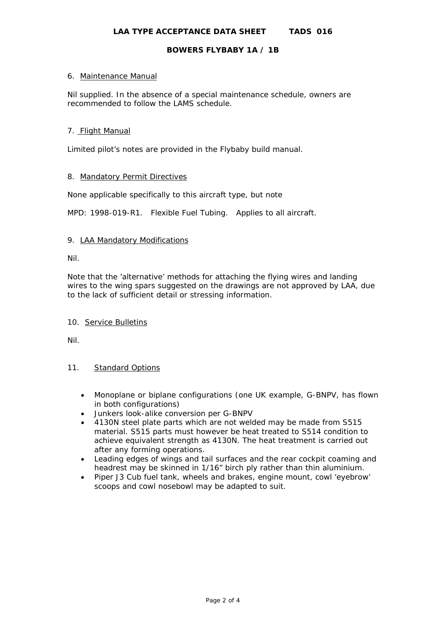## 6. Maintenance Manual

Nil supplied. In the absence of a special maintenance schedule, owners are recommended to follow the LAMS schedule.

## 7. Flight Manual

Limited pilot's notes are provided in the Flybaby build manual.

# 8. Mandatory Permit Directives

None applicable specifically to this aircraft type, but note

MPD: 1998-019-R1. Flexible Fuel Tubing. Applies to all aircraft.

## 9. LAA Mandatory Modifications

Nil.

Note that the 'alternative' methods for attaching the flying wires and landing wires to the wing spars suggested on the drawings are not approved by LAA, due to the lack of sufficient detail or stressing information.

#### 10. Service Bulletins

Nil.

#### 11. Standard Options

- Monoplane or biplane configurations (one UK example, G-BNPV, has flown in both configurations)
- Junkers look-alike conversion per G-BNPV
- 4130N steel plate parts which are not welded may be made from S515 material. S515 parts must however be heat treated to S514 condition to achieve equivalent strength as 4130N. The heat treatment is carried out after any forming operations.
- Leading edges of wings and tail surfaces and the rear cockpit coaming and headrest may be skinned in 1/16" birch ply rather than thin aluminium.
- Piper J3 Cub fuel tank, wheels and brakes, engine mount, cowl 'eyebrow' scoops and cowl nosebowl may be adapted to suit.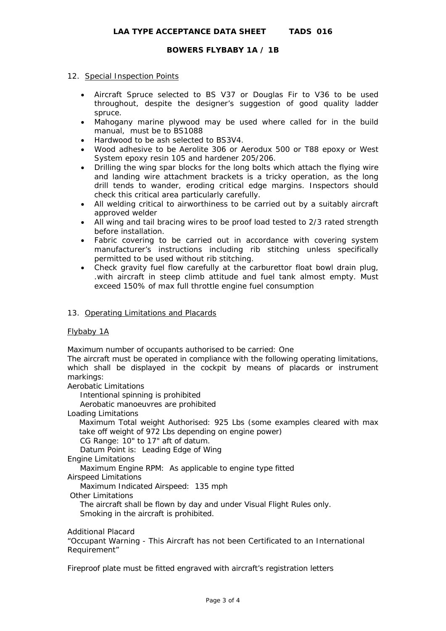## 12. Special Inspection Points

- Aircraft Spruce selected to BS V37 or Douglas Fir to V36 to be used throughout, despite the designer's suggestion of good quality ladder spruce.
- Mahogany marine plywood may be used where called for in the build manual, must be to BS1088
- Hardwood to be ash selected to BS3V4.
- Wood adhesive to be Aerolite 306 or Aerodux 500 or T88 epoxy or West System epoxy resin 105 and hardener 205/206.
- Drilling the wing spar blocks for the long bolts which attach the flying wire and landing wire attachment brackets is a tricky operation, as the long drill tends to wander, eroding critical edge margins. Inspectors should check this critical area particularly carefully.
- All welding critical to airworthiness to be carried out by a suitably aircraft approved welder
- All wing and tail bracing wires to be proof load tested to 2/3 rated strength before installation.
- Fabric covering to be carried out in accordance with covering system manufacturer's instructions including rib stitching unless specifically permitted to be used without rib stitching.
- Check gravity fuel flow carefully at the carburettor float bowl drain plug, .with aircraft in steep climb attitude and fuel tank almost empty. Must exceed 150% of max full throttle engine fuel consumption

## 13. Operating Limitations and Placards

# Flybaby 1A

Maximum number of occupants authorised to be carried: One

The aircraft must be operated in compliance with the following operating limitations, which shall be displayed in the cockpit by means of placards or instrument markings:

Aerobatic Limitations

Intentional spinning is prohibited

Aerobatic manoeuvres are prohibited

Loading Limitations

Maximum Total weight Authorised: 925 Lbs (some examples cleared with max take off weight of 972 Lbs depending on engine power)

CG Range: 10" to 17" aft of datum.

Datum Point is: Leading Edge of Wing

Engine Limitations

Maximum Engine RPM: As applicable to engine type fitted

Airspeed Limitations

Maximum Indicated Airspeed: 135 mph

Other Limitations

 The aircraft shall be flown by day and under Visual Flight Rules only. Smoking in the aircraft is prohibited.

Additional Placard

"Occupant Warning - This Aircraft has not been Certificated to an International Requirement"

Fireproof plate must be fitted engraved with aircraft's registration letters